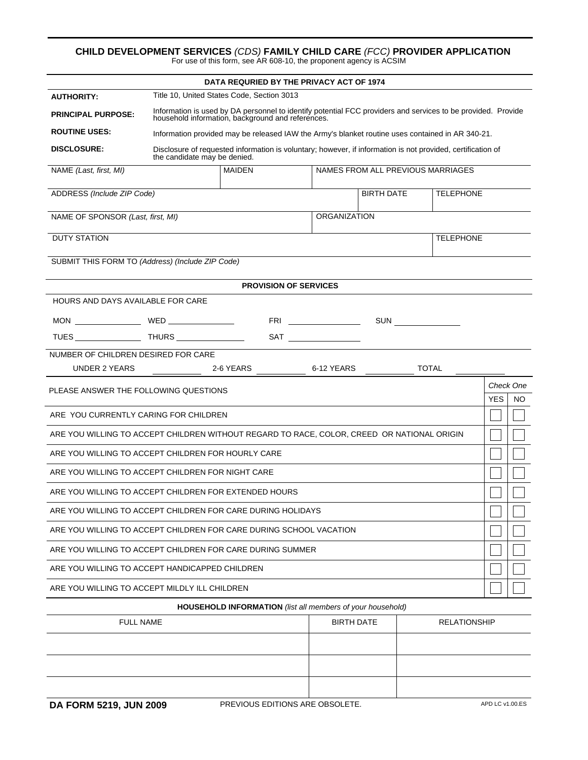## **CHILD DEVELOPMENT SERVICES** *(CDS)* **FAMILY CHILD CARE** *(FCC)* **PROVIDER APPLICATION** For use of this form, see AR 608-10, the proponent agency is ACSIM

| DATA REQURIED BY THE PRIVACY ACT OF 1974                                                   |                                                                                                                                                                   |                          |                                                                                                                                                                                                                                                                                                                                                     |                   |                     |            |           |  |
|--------------------------------------------------------------------------------------------|-------------------------------------------------------------------------------------------------------------------------------------------------------------------|--------------------------|-----------------------------------------------------------------------------------------------------------------------------------------------------------------------------------------------------------------------------------------------------------------------------------------------------------------------------------------------------|-------------------|---------------------|------------|-----------|--|
| <b>AUTHORITY:</b>                                                                          | Title 10, United States Code, Section 3013                                                                                                                        |                          |                                                                                                                                                                                                                                                                                                                                                     |                   |                     |            |           |  |
| <b>PRINCIPAL PURPOSE:</b>                                                                  | Information is used by DA personnel to identify potential FCC providers and services to be provided. Provide<br>household information, background and references. |                          |                                                                                                                                                                                                                                                                                                                                                     |                   |                     |            |           |  |
| <b>ROUTINE USES:</b>                                                                       | Information provided may be released IAW the Army's blanket routine uses contained in AR 340-21.                                                                  |                          |                                                                                                                                                                                                                                                                                                                                                     |                   |                     |            |           |  |
| <b>DISCLOSURE:</b>                                                                         | Disclosure of requested information is voluntary; however, if information is not provided, certification of<br>the candidate may be denied.                       |                          |                                                                                                                                                                                                                                                                                                                                                     |                   |                     |            |           |  |
| NAME (Last, first, MI)                                                                     | <b>MAIDEN</b><br>NAMES FROM ALL PREVIOUS MARRIAGES                                                                                                                |                          |                                                                                                                                                                                                                                                                                                                                                     |                   |                     |            |           |  |
| ADDRESS (Include ZIP Code)                                                                 |                                                                                                                                                                   |                          |                                                                                                                                                                                                                                                                                                                                                     | <b>BIRTH DATE</b> | <b>TELEPHONE</b>    |            |           |  |
|                                                                                            |                                                                                                                                                                   |                          |                                                                                                                                                                                                                                                                                                                                                     |                   |                     |            |           |  |
| <b>ORGANIZATION</b><br>NAME OF SPONSOR (Last, first, MI)                                   |                                                                                                                                                                   |                          |                                                                                                                                                                                                                                                                                                                                                     |                   |                     |            |           |  |
| <b>DUTY STATION</b>                                                                        |                                                                                                                                                                   |                          |                                                                                                                                                                                                                                                                                                                                                     |                   | <b>TELEPHONE</b>    |            |           |  |
| SUBMIT THIS FORM TO (Address) (Include ZIP Code)                                           |                                                                                                                                                                   |                          |                                                                                                                                                                                                                                                                                                                                                     |                   |                     |            |           |  |
| <b>PROVISION OF SERVICES</b>                                                               |                                                                                                                                                                   |                          |                                                                                                                                                                                                                                                                                                                                                     |                   |                     |            |           |  |
| <b>HOURS AND DAYS AVAILABLE FOR CARE</b>                                                   |                                                                                                                                                                   |                          |                                                                                                                                                                                                                                                                                                                                                     |                   |                     |            |           |  |
|                                                                                            |                                                                                                                                                                   |                          | <b>FRI</b> _________________                                                                                                                                                                                                                                                                                                                        |                   |                     |            |           |  |
|                                                                                            |                                                                                                                                                                   |                          | $\begin{picture}(180,10) \put(0,0){\line(1,0){10}} \put(15,0){\line(1,0){10}} \put(15,0){\line(1,0){10}} \put(15,0){\line(1,0){10}} \put(15,0){\line(1,0){10}} \put(15,0){\line(1,0){10}} \put(15,0){\line(1,0){10}} \put(15,0){\line(1,0){10}} \put(15,0){\line(1,0){10}} \put(15,0){\line(1,0){10}} \put(15,0){\line(1,0){10}} \put(15,0){\line($ |                   |                     |            |           |  |
| NUMBER OF CHILDREN DESIRED FOR CARE                                                        |                                                                                                                                                                   |                          |                                                                                                                                                                                                                                                                                                                                                     |                   |                     |            |           |  |
| UNDER 2 YEARS                                                                              |                                                                                                                                                                   | 2-6 YEARS ______________ | 6-12 YEARS                                                                                                                                                                                                                                                                                                                                          |                   | <b>TOTAL</b>        |            |           |  |
| PLEASE ANSWER THE FOLLOWING QUESTIONS                                                      |                                                                                                                                                                   |                          |                                                                                                                                                                                                                                                                                                                                                     |                   |                     |            | Check One |  |
|                                                                                            |                                                                                                                                                                   |                          |                                                                                                                                                                                                                                                                                                                                                     |                   |                     | <b>YES</b> | NO.       |  |
| ARE YOU CURRENTLY CARING FOR CHILDREN                                                      |                                                                                                                                                                   |                          |                                                                                                                                                                                                                                                                                                                                                     |                   |                     |            |           |  |
| ARE YOU WILLING TO ACCEPT CHILDREN WITHOUT REGARD TO RACE, COLOR, CREED OR NATIONAL ORIGIN |                                                                                                                                                                   |                          |                                                                                                                                                                                                                                                                                                                                                     |                   |                     |            |           |  |
| ARE YOU WILLING TO ACCEPT CHILDREN FOR HOURLY CARE                                         |                                                                                                                                                                   |                          |                                                                                                                                                                                                                                                                                                                                                     |                   |                     |            |           |  |
| ARE YOU WILLING TO ACCEPT CHILDREN FOR NIGHT CARE                                          |                                                                                                                                                                   |                          |                                                                                                                                                                                                                                                                                                                                                     |                   |                     |            |           |  |
| ARE YOU WILLING TO ACCEPT CHILDREN FOR EXTENDED HOURS                                      |                                                                                                                                                                   |                          |                                                                                                                                                                                                                                                                                                                                                     |                   |                     |            |           |  |
| ARE YOU WILLING TO ACCEPT CHILDREN FOR CARE DURING HOLIDAYS                                |                                                                                                                                                                   |                          |                                                                                                                                                                                                                                                                                                                                                     |                   |                     |            |           |  |
| ARE YOU WILLING TO ACCEPT CHILDREN FOR CARE DURING SCHOOL VACATION                         |                                                                                                                                                                   |                          |                                                                                                                                                                                                                                                                                                                                                     |                   |                     |            |           |  |
| ARE YOU WILLING TO ACCEPT CHILDREN FOR CARE DURING SUMMER                                  |                                                                                                                                                                   |                          |                                                                                                                                                                                                                                                                                                                                                     |                   |                     |            |           |  |
| ARE YOU WILLING TO ACCEPT HANDICAPPED CHILDREN                                             |                                                                                                                                                                   |                          |                                                                                                                                                                                                                                                                                                                                                     |                   |                     |            |           |  |
| ARE YOU WILLING TO ACCEPT MILDLY ILL CHILDREN                                              |                                                                                                                                                                   |                          |                                                                                                                                                                                                                                                                                                                                                     |                   |                     |            |           |  |
| HOUSEHOLD INFORMATION (list all members of your household)                                 |                                                                                                                                                                   |                          |                                                                                                                                                                                                                                                                                                                                                     |                   |                     |            |           |  |
| <b>FULL NAME</b>                                                                           |                                                                                                                                                                   |                          | <b>BIRTH DATE</b>                                                                                                                                                                                                                                                                                                                                   |                   | <b>RELATIONSHIP</b> |            |           |  |